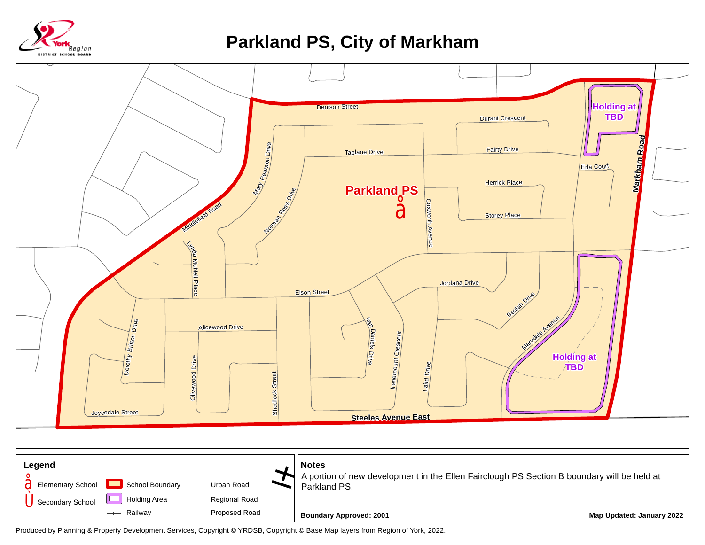

## **Parkland PS, City of Markham**



Produced by Planning & Property Development Services, Copyright © YRDSB, Copyright © Base Map layers from Region of York, 2022.